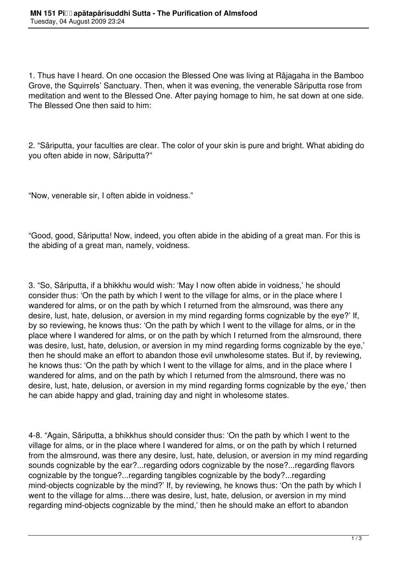1. Thus have I heard. On one occasion the Blessed One was living at Rājagaha in the Bamboo Grove, the Squirrels' Sanctuary. Then, when it was evening, the venerable Sāriputta rose from meditation and went to the Blessed One. After paying homage to him, he sat down at one side. The Blessed One then said to him:

2. "Sāriputta, your faculties are clear. The color of your skin is pure and bright. What abiding do you often abide in now, Sāriputta?"

"Now, venerable sir, I often abide in voidness."

"Good, good, Sāriputta! Now, indeed, you often abide in the abiding of a great man. For this is the abiding of a great man, namely, voidness.

3. "So, Sāriputta, if a bhikkhu would wish: 'May I now often abide in voidness,' he should consider thus: 'On the path by which I went to the village for alms, or in the place where I wandered for alms, or on the path by which I returned from the almsround, was there any desire, lust, hate, delusion, or aversion in my mind regarding forms cognizable by the eye?' If, by so reviewing, he knows thus: 'On the path by which I went to the village for alms, or in the place where I wandered for alms, or on the path by which I returned from the almsround, there was desire, lust, hate, delusion, or aversion in my mind regarding forms cognizable by the eye,' then he should make an effort to abandon those evil unwholesome states. But if, by reviewing, he knows thus: 'On the path by which I went to the village for alms, and in the place where I wandered for alms, and on the path by which I returned from the almsround, there was no desire, lust, hate, delusion, or aversion in my mind regarding forms cognizable by the eye,' then he can abide happy and glad, training day and night in wholesome states.

4-8. "Again, Sāriputta, a bhikkhus should consider thus: 'On the path by which I went to the village for alms, or in the place where I wandered for alms, or on the path by which I returned from the almsround, was there any desire, lust, hate, delusion, or aversion in my mind regarding sounds cognizable by the ear?...regarding odors cognizable by the nose?...regarding flavors cognizable by the tongue?...regarding tangibles cognizable by the body?...regarding mind-objects cognizable by the mind?' If, by reviewing, he knows thus: 'On the path by which I went to the village for alms…there was desire, lust, hate, delusion, or aversion in my mind regarding mind-objects cognizable by the mind,' then he should make an effort to abandon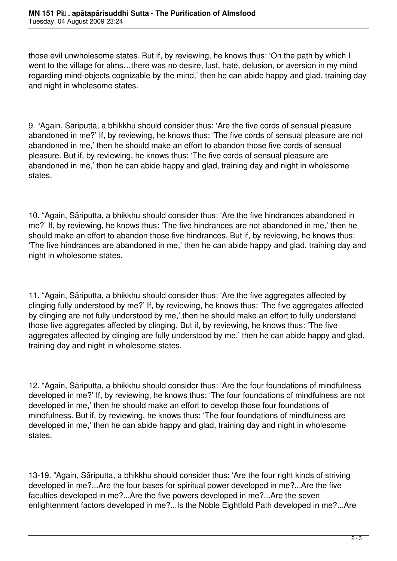those evil unwholesome states. But if, by reviewing, he knows thus: 'On the path by which I went to the village for alms…there was no desire, lust, hate, delusion, or aversion in my mind regarding mind-objects cognizable by the mind,' then he can abide happy and glad, training day and night in wholesome states.

9. "Again, Sāriputta, a bhikkhu should consider thus: 'Are the five cords of sensual pleasure abandoned in me?' If, by reviewing, he knows thus: 'The five cords of sensual pleasure are not abandoned in me,' then he should make an effort to abandon those five cords of sensual pleasure. But if, by reviewing, he knows thus: 'The five cords of sensual pleasure are abandoned in me,' then he can abide happy and glad, training day and night in wholesome states.

10. "Again, Sāriputta, a bhikkhu should consider thus: 'Are the five hindrances abandoned in me?' If, by reviewing, he knows thus: 'The five hindrances are not abandoned in me,' then he should make an effort to abandon those five hindrances. But if, by reviewing, he knows thus: 'The five hindrances are abandoned in me,' then he can abide happy and glad, training day and night in wholesome states.

11. "Again, Sāriputta, a bhikkhu should consider thus: 'Are the five aggregates affected by clinging fully understood by me?' If, by reviewing, he knows thus: 'The five aggregates affected by clinging are not fully understood by me,' then he should make an effort to fully understand those five aggregates affected by clinging. But if, by reviewing, he knows thus: 'The five aggregates affected by clinging are fully understood by me,' then he can abide happy and glad, training day and night in wholesome states.

12. "Again, Sāriputta, a bhikkhu should consider thus: 'Are the four foundations of mindfulness developed in me?' If, by reviewing, he knows thus: 'The four foundations of mindfulness are not developed in me,' then he should make an effort to develop those four foundations of mindfulness. But if, by reviewing, he knows thus: 'The four foundations of mindfulness are developed in me,' then he can abide happy and glad, training day and night in wholesome states.

13-19. "Again, Sāriputta, a bhikkhu should consider thus: 'Are the four right kinds of striving developed in me?...Are the four bases for spiritual power developed in me?...Are the five faculties developed in me?...Are the five powers developed in me?...Are the seven enlightenment factors developed in me?...Is the Noble Eightfold Path developed in me?...Are